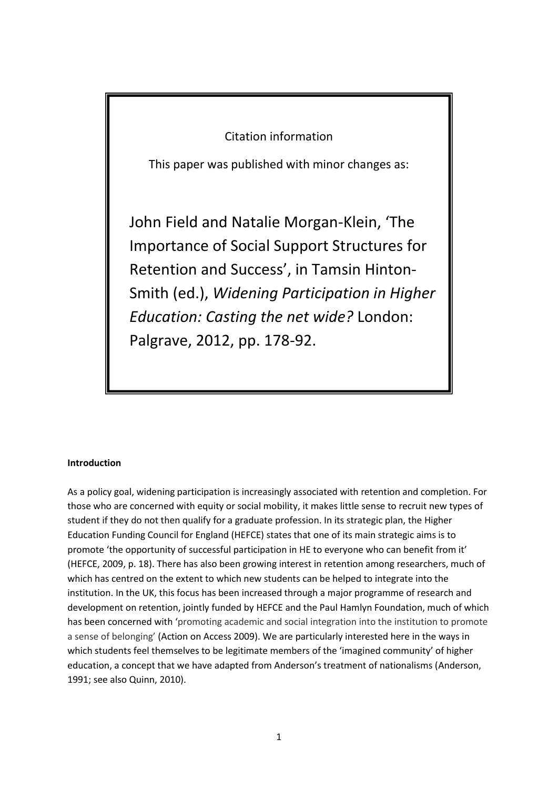Citation information

This paper was published with minor changes as:

John Field and Natalie Morgan-Klein, 'The Importance of Social Support Structures for Retention and Success', in Tamsin Hinton-Smith (ed.), *Widening Participation in Higher Education: Casting the net wide?* London: Palgrave, 2012, pp. 178-92.

# **Introduction**

As a policy goal, widening participation is increasingly associated with retention and completion. For those who are concerned with equity or social mobility, it makes little sense to recruit new types of student if they do not then qualify for a graduate profession. In its strategic plan, the Higher Education Funding Council for England (HEFCE) states that one of its main strategic aims is to promote 'the opportunity of successful participation in HE to everyone who can benefit from it' (HEFCE, 2009, p. 18). There has also been growing interest in retention among researchers, much of which has centred on the extent to which new students can be helped to integrate into the institution. In the UK, this focus has been increased through a major programme of research and development on retention, jointly funded by HEFCE and the Paul Hamlyn Foundation, much of which has been concerned with 'promoting academic and social integration into the institution to promote a sense of belonging' (Action on Access 2009). We are particularly interested here in the ways in which students feel themselves to be legitimate members of the 'imagined community' of higher education, a concept that we have adapted from Anderson's treatment of nationalisms (Anderson, 1991; see also Quinn, 2010).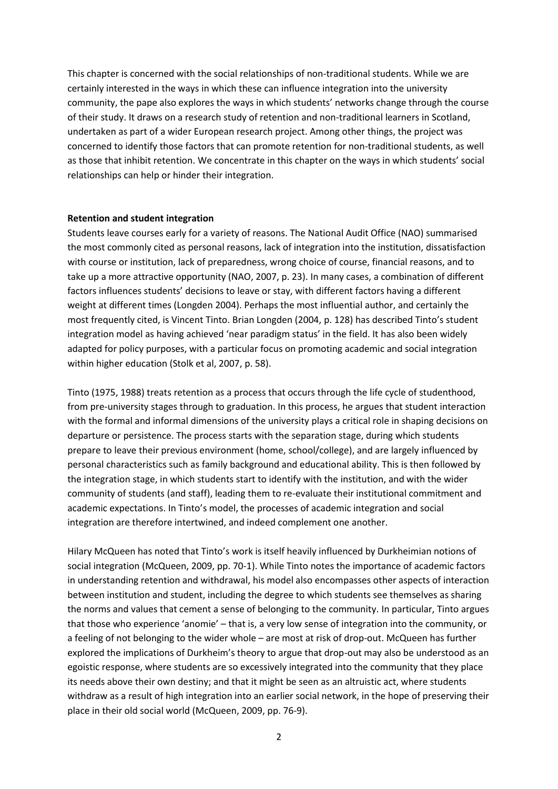This chapter is concerned with the social relationships of non-traditional students. While we are certainly interested in the ways in which these can influence integration into the university community, the pape also explores the ways in which students' networks change through the course of their study. It draws on a research study of retention and non-traditional learners in Scotland, undertaken as part of a wider European research project. Among other things, the project was concerned to identify those factors that can promote retention for non-traditional students, as well as those that inhibit retention. We concentrate in this chapter on the ways in which students' social relationships can help or hinder their integration.

#### **Retention and student integration**

Students leave courses early for a variety of reasons. The National Audit Office (NAO) summarised the most commonly cited as personal reasons, lack of integration into the institution, dissatisfaction with course or institution, lack of preparedness, wrong choice of course, financial reasons, and to take up a more attractive opportunity (NAO, 2007, p. 23). In many cases, a combination of different factors influences students' decisions to leave or stay, with different factors having a different weight at different times (Longden 2004). Perhaps the most influential author, and certainly the most frequently cited, is Vincent Tinto. Brian Longden (2004, p. 128) has described Tinto's student integration model as having achieved 'near paradigm status' in the field. It has also been widely adapted for policy purposes, with a particular focus on promoting academic and social integration within higher education (Stolk et al, 2007, p. 58).

Tinto (1975, 1988) treats retention as a process that occurs through the life cycle of studenthood, from pre-university stages through to graduation. In this process, he argues that student interaction with the formal and informal dimensions of the university plays a critical role in shaping decisions on departure or persistence. The process starts with the separation stage, during which students prepare to leave their previous environment (home, school/college), and are largely influenced by personal characteristics such as family background and educational ability. This is then followed by the integration stage, in which students start to identify with the institution, and with the wider community of students (and staff), leading them to re-evaluate their institutional commitment and academic expectations. In Tinto's model, the processes of academic integration and social integration are therefore intertwined, and indeed complement one another.

Hilary McQueen has noted that Tinto's work is itself heavily influenced by Durkheimian notions of social integration (McQueen, 2009, pp. 70-1). While Tinto notes the importance of academic factors in understanding retention and withdrawal, his model also encompasses other aspects of interaction between institution and student, including the degree to which students see themselves as sharing the norms and values that cement a sense of belonging to the community. In particular, Tinto argues that those who experience 'anomie' – that is, a very low sense of integration into the community, or a feeling of not belonging to the wider whole – are most at risk of drop-out. McQueen has further explored the implications of Durkheim's theory to argue that drop-out may also be understood as an egoistic response, where students are so excessively integrated into the community that they place its needs above their own destiny; and that it might be seen as an altruistic act, where students withdraw as a result of high integration into an earlier social network, in the hope of preserving their place in their old social world (McQueen, 2009, pp. 76-9).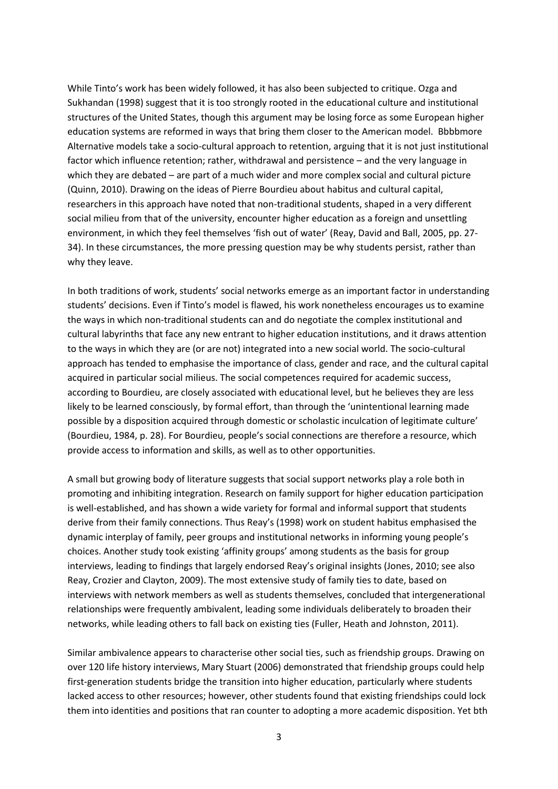While Tinto's work has been widely followed, it has also been subjected to critique. Ozga and Sukhandan (1998) suggest that it is too strongly rooted in the educational culture and institutional structures of the United States, though this argument may be losing force as some European higher education systems are reformed in ways that bring them closer to the American model. Bbbbmore Alternative models take a socio-cultural approach to retention, arguing that it is not just institutional factor which influence retention; rather, withdrawal and persistence – and the very language in which they are debated – are part of a much wider and more complex social and cultural picture (Quinn, 2010). Drawing on the ideas of Pierre Bourdieu about habitus and cultural capital, researchers in this approach have noted that non-traditional students, shaped in a very different social milieu from that of the university, encounter higher education as a foreign and unsettling environment, in which they feel themselves 'fish out of water' (Reay, David and Ball, 2005, pp. 27- 34). In these circumstances, the more pressing question may be why students persist, rather than why they leave.

In both traditions of work, students' social networks emerge as an important factor in understanding students' decisions. Even if Tinto's model is flawed, his work nonetheless encourages us to examine the ways in which non-traditional students can and do negotiate the complex institutional and cultural labyrinths that face any new entrant to higher education institutions, and it draws attention to the ways in which they are (or are not) integrated into a new social world. The socio-cultural approach has tended to emphasise the importance of class, gender and race, and the cultural capital acquired in particular social milieus. The social competences required for academic success, according to Bourdieu, are closely associated with educational level, but he believes they are less likely to be learned consciously, by formal effort, than through the 'unintentional learning made possible by a disposition acquired through domestic or scholastic inculcation of legitimate culture' (Bourdieu, 1984, p. 28). For Bourdieu, people's social connections are therefore a resource, which provide access to information and skills, as well as to other opportunities.

A small but growing body of literature suggests that social support networks play a role both in promoting and inhibiting integration. Research on family support for higher education participation is well-established, and has shown a wide variety for formal and informal support that students derive from their family connections. Thus Reay's (1998) work on student habitus emphasised the dynamic interplay of family, peer groups and institutional networks in informing young people's choices. Another study took existing 'affinity groups' among students as the basis for group interviews, leading to findings that largely endorsed Reay's original insights (Jones, 2010; see also Reay, Crozier and Clayton, 2009). The most extensive study of family ties to date, based on interviews with network members as well as students themselves, concluded that intergenerational relationships were frequently ambivalent, leading some individuals deliberately to broaden their networks, while leading others to fall back on existing ties (Fuller, Heath and Johnston, 2011).

Similar ambivalence appears to characterise other social ties, such as friendship groups. Drawing on over 120 life history interviews, Mary Stuart (2006) demonstrated that friendship groups could help first-generation students bridge the transition into higher education, particularly where students lacked access to other resources; however, other students found that existing friendships could lock them into identities and positions that ran counter to adopting a more academic disposition. Yet bth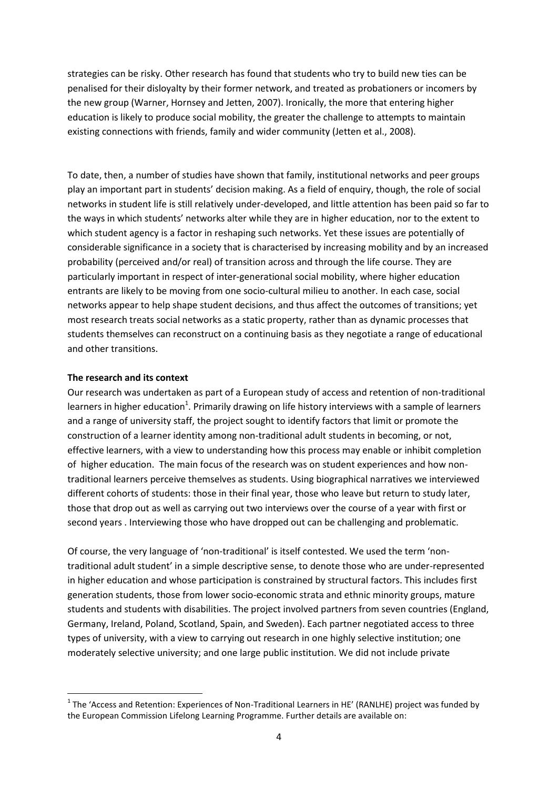strategies can be risky. Other research has found that students who try to build new ties can be penalised for their disloyalty by their former network, and treated as probationers or incomers by the new group (Warner, Hornsey and Jetten, 2007). Ironically, the more that entering higher education is likely to produce social mobility, the greater the challenge to attempts to maintain existing connections with friends, family and wider community (Jetten et al., 2008).

To date, then, a number of studies have shown that family, institutional networks and peer groups play an important part in students' decision making. As a field of enquiry, though, the role of social networks in student life is still relatively under-developed, and little attention has been paid so far to the ways in which students' networks alter while they are in higher education, nor to the extent to which student agency is a factor in reshaping such networks. Yet these issues are potentially of considerable significance in a society that is characterised by increasing mobility and by an increased probability (perceived and/or real) of transition across and through the life course. They are particularly important in respect of inter-generational social mobility, where higher education entrants are likely to be moving from one socio-cultural milieu to another. In each case, social networks appear to help shape student decisions, and thus affect the outcomes of transitions; yet most research treats social networks as a static property, rather than as dynamic processes that students themselves can reconstruct on a continuing basis as they negotiate a range of educational and other transitions.

#### **The research and its context**

**.** 

Our research was undertaken as part of a European study of access and retention of non-traditional learners in higher education<sup>1</sup>. Primarily drawing on life history interviews with a sample of learners and a range of university staff, the project sought to identify factors that limit or promote the construction of a learner identity among non-traditional adult students in becoming, or not, effective learners, with a view to understanding how this process may enable or inhibit completion of higher education. The main focus of the research was on student experiences and how nontraditional learners perceive themselves as students. Using biographical narratives we interviewed different cohorts of students: those in their final year, those who leave but return to study later, those that drop out as well as carrying out two interviews over the course of a year with first or second years . Interviewing those who have dropped out can be challenging and problematic.

Of course, the very language of 'non-traditional' is itself contested. We used the term 'nontraditional adult student' in a simple descriptive sense, to denote those who are under-represented in higher education and whose participation is constrained by structural factors. This includes first generation students, those from lower socio-economic strata and ethnic minority groups, mature students and students with disabilities. The project involved partners from seven countries (England, Germany, Ireland, Poland, Scotland, Spain, and Sweden). Each partner negotiated access to three types of university, with a view to carrying out research in one highly selective institution; one moderately selective university; and one large public institution. We did not include private

 $^1$  The 'Access and Retention: Experiences of Non-Traditional Learners in HE' (RANLHE) project was funded by the European Commission Lifelong Learning Programme. Further details are available on: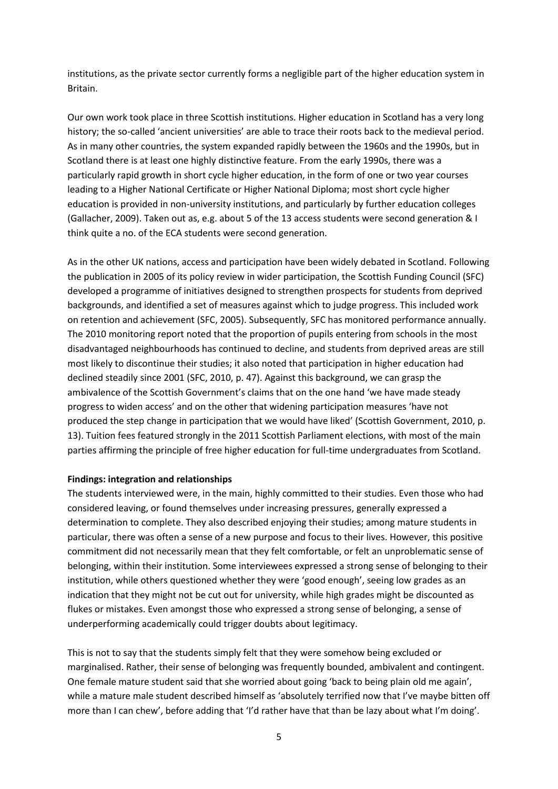institutions, as the private sector currently forms a negligible part of the higher education system in Britain.

Our own work took place in three Scottish institutions. Higher education in Scotland has a very long history; the so-called 'ancient universities' are able to trace their roots back to the medieval period. As in many other countries, the system expanded rapidly between the 1960s and the 1990s, but in Scotland there is at least one highly distinctive feature. From the early 1990s, there was a particularly rapid growth in short cycle higher education, in the form of one or two year courses leading to a Higher National Certificate or Higher National Diploma; most short cycle higher education is provided in non-university institutions, and particularly by further education colleges (Gallacher, 2009). Taken out as, e.g. about 5 of the 13 access students were second generation & I think quite a no. of the ECA students were second generation.

As in the other UK nations, access and participation have been widely debated in Scotland. Following the publication in 2005 of its policy review in wider participation, the Scottish Funding Council (SFC) developed a programme of initiatives designed to strengthen prospects for students from deprived backgrounds, and identified a set of measures against which to judge progress. This included work on retention and achievement (SFC, 2005). Subsequently, SFC has monitored performance annually. The 2010 monitoring report noted that the proportion of pupils entering from schools in the most disadvantaged neighbourhoods has continued to decline, and students from deprived areas are still most likely to discontinue their studies; it also noted that participation in higher education had declined steadily since 2001 (SFC, 2010, p. 47). Against this background, we can grasp the ambivalence of the Scottish Government's claims that on the one hand 'we have made steady progress to widen access' and on the other that widening participation measures 'have not produced the step change in participation that we would have liked' (Scottish Government, 2010, p. 13). Tuition fees featured strongly in the 2011 Scottish Parliament elections, with most of the main parties affirming the principle of free higher education for full-time undergraduates from Scotland.

#### **Findings: integration and relationships**

The students interviewed were, in the main, highly committed to their studies. Even those who had considered leaving, or found themselves under increasing pressures, generally expressed a determination to complete. They also described enjoying their studies; among mature students in particular, there was often a sense of a new purpose and focus to their lives. However, this positive commitment did not necessarily mean that they felt comfortable, or felt an unproblematic sense of belonging, within their institution. Some interviewees expressed a strong sense of belonging to their institution, while others questioned whether they were 'good enough', seeing low grades as an indication that they might not be cut out for university, while high grades might be discounted as flukes or mistakes. Even amongst those who expressed a strong sense of belonging, a sense of underperforming academically could trigger doubts about legitimacy.

This is not to say that the students simply felt that they were somehow being excluded or marginalised. Rather, their sense of belonging was frequently bounded, ambivalent and contingent. One female mature student said that she worried about going 'back to being plain old me again', while a mature male student described himself as 'absolutely terrified now that I've maybe bitten off more than I can chew', before adding that 'I'd rather have that than be lazy about what I'm doing'.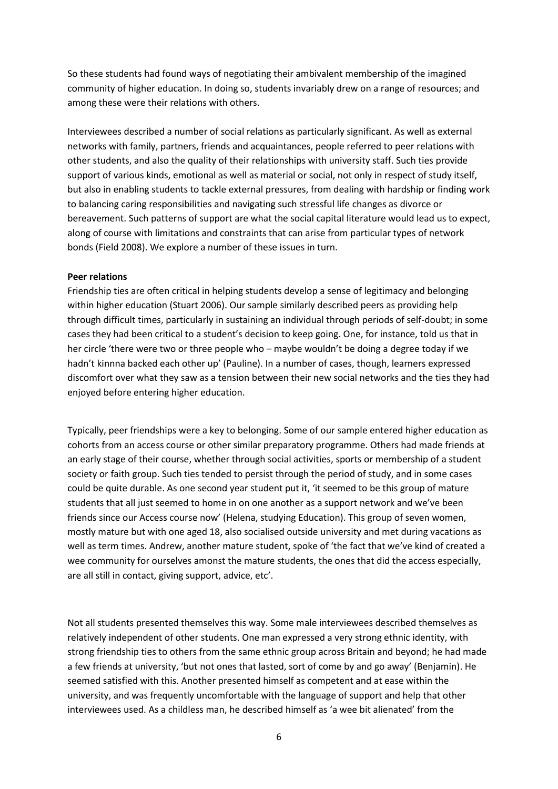So these students had found ways of negotiating their ambivalent membership of the imagined community of higher education. In doing so, students invariably drew on a range of resources; and among these were their relations with others.

Interviewees described a number of social relations as particularly significant. As well as external networks with family, partners, friends and acquaintances, people referred to peer relations with other students, and also the quality of their relationships with university staff. Such ties provide support of various kinds, emotional as well as material or social, not only in respect of study itself, but also in enabling students to tackle external pressures, from dealing with hardship or finding work to balancing caring responsibilities and navigating such stressful life changes as divorce or bereavement. Such patterns of support are what the social capital literature would lead us to expect, along of course with limitations and constraints that can arise from particular types of network bonds (Field 2008). We explore a number of these issues in turn.

#### **Peer relations**

Friendship ties are often critical in helping students develop a sense of legitimacy and belonging within higher education (Stuart 2006). Our sample similarly described peers as providing help through difficult times, particularly in sustaining an individual through periods of self-doubt; in some cases they had been critical to a student's decision to keep going. One, for instance, told us that in her circle 'there were two or three people who – maybe wouldn't be doing a degree today if we hadn't kinnna backed each other up' (Pauline). In a number of cases, though, learners expressed discomfort over what they saw as a tension between their new social networks and the ties they had enjoyed before entering higher education.

Typically, peer friendships were a key to belonging. Some of our sample entered higher education as cohorts from an access course or other similar preparatory programme. Others had made friends at an early stage of their course, whether through social activities, sports or membership of a student society or faith group. Such ties tended to persist through the period of study, and in some cases could be quite durable. As one second year student put it, 'it seemed to be this group of mature students that all just seemed to home in on one another as a support network and we've been friends since our Access course now' (Helena, studying Education). This group of seven women, mostly mature but with one aged 18, also socialised outside university and met during vacations as well as term times. Andrew, another mature student, spoke of 'the fact that we've kind of created a wee community for ourselves amonst the mature students, the ones that did the access especially, are all still in contact, giving support, advice, etc'.

Not all students presented themselves this way. Some male interviewees described themselves as relatively independent of other students. One man expressed a very strong ethnic identity, with strong friendship ties to others from the same ethnic group across Britain and beyond; he had made a few friends at university, 'but not ones that lasted, sort of come by and go away' (Benjamin). He seemed satisfied with this. Another presented himself as competent and at ease within the university, and was frequently uncomfortable with the language of support and help that other interviewees used. As a childless man, he described himself as 'a wee bit alienated' from the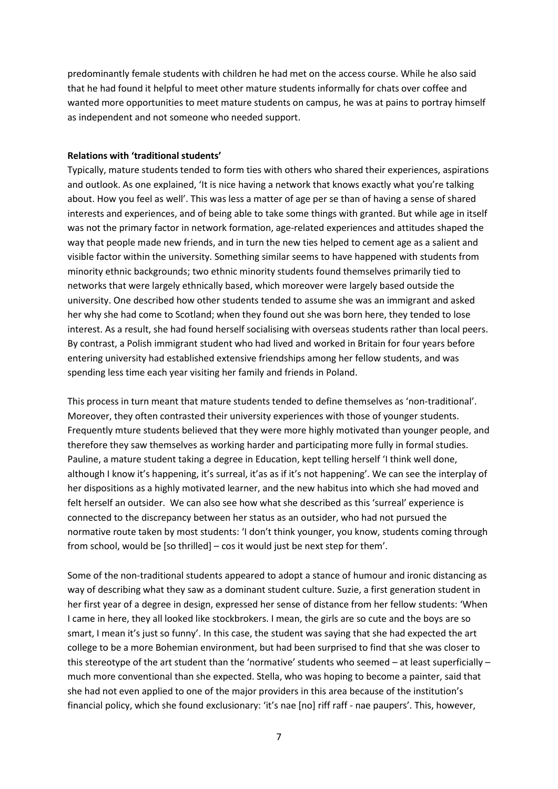predominantly female students with children he had met on the access course. While he also said that he had found it helpful to meet other mature students informally for chats over coffee and wanted more opportunities to meet mature students on campus, he was at pains to portray himself as independent and not someone who needed support.

#### **Relations with 'traditional students'**

Typically, mature students tended to form ties with others who shared their experiences, aspirations and outlook. As one explained, 'It is nice having a network that knows exactly what you're talking about. How you feel as well'. This was less a matter of age per se than of having a sense of shared interests and experiences, and of being able to take some things with granted. But while age in itself was not the primary factor in network formation, age-related experiences and attitudes shaped the way that people made new friends, and in turn the new ties helped to cement age as a salient and visible factor within the university. Something similar seems to have happened with students from minority ethnic backgrounds; two ethnic minority students found themselves primarily tied to networks that were largely ethnically based, which moreover were largely based outside the university. One described how other students tended to assume she was an immigrant and asked her why she had come to Scotland; when they found out she was born here, they tended to lose interest. As a result, she had found herself socialising with overseas students rather than local peers. By contrast, a Polish immigrant student who had lived and worked in Britain for four years before entering university had established extensive friendships among her fellow students, and was spending less time each year visiting her family and friends in Poland.

This process in turn meant that mature students tended to define themselves as 'non-traditional'. Moreover, they often contrasted their university experiences with those of younger students. Frequently mture students believed that they were more highly motivated than younger people, and therefore they saw themselves as working harder and participating more fully in formal studies. Pauline, a mature student taking a degree in Education, kept telling herself 'I think well done, although I know it's happening, it's surreal, it'as as if it's not happening'. We can see the interplay of her dispositions as a highly motivated learner, and the new habitus into which she had moved and felt herself an outsider. We can also see how what she described as this 'surreal' experience is connected to the discrepancy between her status as an outsider, who had not pursued the normative route taken by most students: 'I don't think younger, you know, students coming through from school, would be [so thrilled] – cos it would just be next step for them'.

Some of the non-traditional students appeared to adopt a stance of humour and ironic distancing as way of describing what they saw as a dominant student culture. Suzie, a first generation student in her first year of a degree in design, expressed her sense of distance from her fellow students: 'When I came in here, they all looked like stockbrokers. I mean, the girls are so cute and the boys are so smart, I mean it's just so funny'. In this case, the student was saying that she had expected the art college to be a more Bohemian environment, but had been surprised to find that she was closer to this stereotype of the art student than the 'normative' students who seemed – at least superficially – much more conventional than she expected. Stella, who was hoping to become a painter, said that she had not even applied to one of the major providers in this area because of the institution's financial policy, which she found exclusionary: 'it's nae [no] riff raff - nae paupers'. This, however,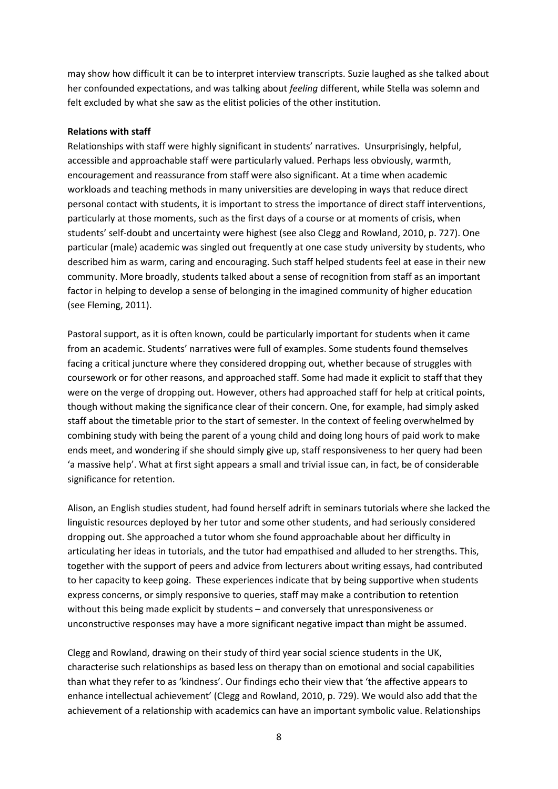may show how difficult it can be to interpret interview transcripts. Suzie laughed as she talked about her confounded expectations, and was talking about *feeling* different, while Stella was solemn and felt excluded by what she saw as the elitist policies of the other institution.

### **Relations with staff**

Relationships with staff were highly significant in students' narratives. Unsurprisingly, helpful, accessible and approachable staff were particularly valued. Perhaps less obviously, warmth, encouragement and reassurance from staff were also significant. At a time when academic workloads and teaching methods in many universities are developing in ways that reduce direct personal contact with students, it is important to stress the importance of direct staff interventions, particularly at those moments, such as the first days of a course or at moments of crisis, when students' self-doubt and uncertainty were highest (see also Clegg and Rowland, 2010, p. 727). One particular (male) academic was singled out frequently at one case study university by students, who described him as warm, caring and encouraging. Such staff helped students feel at ease in their new community. More broadly, students talked about a sense of recognition from staff as an important factor in helping to develop a sense of belonging in the imagined community of higher education (see Fleming, 2011).

Pastoral support, as it is often known, could be particularly important for students when it came from an academic. Students' narratives were full of examples. Some students found themselves facing a critical juncture where they considered dropping out, whether because of struggles with coursework or for other reasons, and approached staff. Some had made it explicit to staff that they were on the verge of dropping out. However, others had approached staff for help at critical points, though without making the significance clear of their concern. One, for example, had simply asked staff about the timetable prior to the start of semester. In the context of feeling overwhelmed by combining study with being the parent of a young child and doing long hours of paid work to make ends meet, and wondering if she should simply give up, staff responsiveness to her query had been 'a massive help'. What at first sight appears a small and trivial issue can, in fact, be of considerable significance for retention.

Alison, an English studies student, had found herself adrift in seminars tutorials where she lacked the linguistic resources deployed by her tutor and some other students, and had seriously considered dropping out. She approached a tutor whom she found approachable about her difficulty in articulating her ideas in tutorials, and the tutor had empathised and alluded to her strengths. This, together with the support of peers and advice from lecturers about writing essays, had contributed to her capacity to keep going. These experiences indicate that by being supportive when students express concerns, or simply responsive to queries, staff may make a contribution to retention without this being made explicit by students – and conversely that unresponsiveness or unconstructive responses may have a more significant negative impact than might be assumed.

Clegg and Rowland, drawing on their study of third year social science students in the UK, characterise such relationships as based less on therapy than on emotional and social capabilities than what they refer to as 'kindness'. Our findings echo their view that 'the affective appears to enhance intellectual achievement' (Clegg and Rowland, 2010, p. 729). We would also add that the achievement of a relationship with academics can have an important symbolic value. Relationships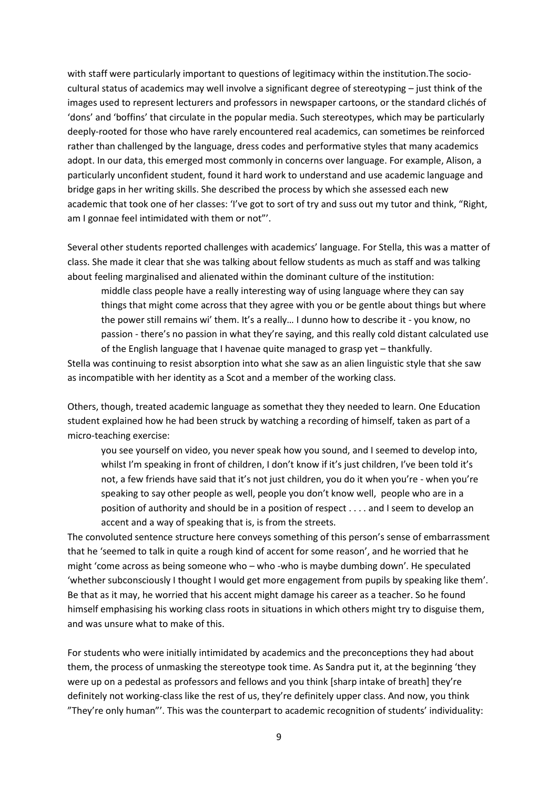with staff were particularly important to questions of legitimacy within the institution.The sociocultural status of academics may well involve a significant degree of stereotyping – just think of the images used to represent lecturers and professors in newspaper cartoons, or the standard clichés of 'dons' and 'boffins' that circulate in the popular media. Such stereotypes, which may be particularly deeply-rooted for those who have rarely encountered real academics, can sometimes be reinforced rather than challenged by the language, dress codes and performative styles that many academics adopt. In our data, this emerged most commonly in concerns over language. For example, Alison, a particularly unconfident student, found it hard work to understand and use academic language and bridge gaps in her writing skills. She described the process by which she assessed each new academic that took one of her classes: 'I've got to sort of try and suss out my tutor and think, "Right, am I gonnae feel intimidated with them or not"'.

Several other students reported challenges with academics' language. For Stella, this was a matter of class. She made it clear that she was talking about fellow students as much as staff and was talking about feeling marginalised and alienated within the dominant culture of the institution:

middle class people have a really interesting way of using language where they can say things that might come across that they agree with you or be gentle about things but where the power still remains wi' them. It's a really… I dunno how to describe it - you know, no passion - there's no passion in what they're saying, and this really cold distant calculated use of the English language that I havenae quite managed to grasp yet – thankfully.

Stella was continuing to resist absorption into what she saw as an alien linguistic style that she saw as incompatible with her identity as a Scot and a member of the working class.

Others, though, treated academic language as somethat they they needed to learn. One Education student explained how he had been struck by watching a recording of himself, taken as part of a micro-teaching exercise:

you see yourself on video, you never speak how you sound, and I seemed to develop into, whilst I'm speaking in front of children, I don't know if it's just children, I've been told it's not, a few friends have said that it's not just children, you do it when you're - when you're speaking to say other people as well, people you don't know well, people who are in a position of authority and should be in a position of respect . . . . and I seem to develop an accent and a way of speaking that is, is from the streets.

The convoluted sentence structure here conveys something of this person's sense of embarrassment that he 'seemed to talk in quite a rough kind of accent for some reason', and he worried that he might 'come across as being someone who – who -who is maybe dumbing down'. He speculated 'whether subconsciously I thought I would get more engagement from pupils by speaking like them'. Be that as it may, he worried that his accent might damage his career as a teacher. So he found himself emphasising his working class roots in situations in which others might try to disguise them, and was unsure what to make of this.

For students who were initially intimidated by academics and the preconceptions they had about them, the process of unmasking the stereotype took time. As Sandra put it, at the beginning 'they were up on a pedestal as professors and fellows and you think [sharp intake of breath] they're definitely not working-class like the rest of us, they're definitely upper class. And now, you think "They're only human"'. This was the counterpart to academic recognition of students' individuality: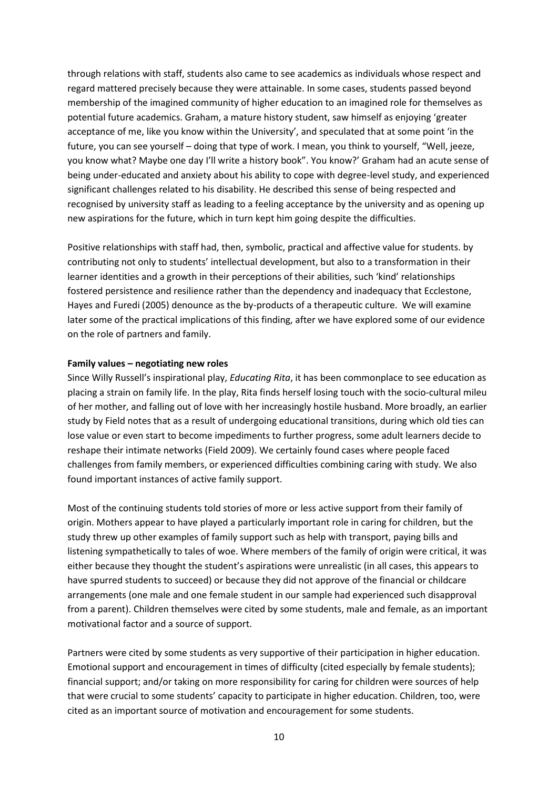through relations with staff, students also came to see academics as individuals whose respect and regard mattered precisely because they were attainable. In some cases, students passed beyond membership of the imagined community of higher education to an imagined role for themselves as potential future academics. Graham, a mature history student, saw himself as enjoying 'greater acceptance of me, like you know within the University', and speculated that at some point 'in the future, you can see yourself – doing that type of work. I mean, you think to yourself, "Well, jeeze, you know what? Maybe one day I'll write a history book". You know?' Graham had an acute sense of being under-educated and anxiety about his ability to cope with degree-level study, and experienced significant challenges related to his disability. He described this sense of being respected and recognised by university staff as leading to a feeling acceptance by the university and as opening up new aspirations for the future, which in turn kept him going despite the difficulties.

Positive relationships with staff had, then, symbolic, practical and affective value for students. by contributing not only to students' intellectual development, but also to a transformation in their learner identities and a growth in their perceptions of their abilities, such 'kind' relationships fostered persistence and resilience rather than the dependency and inadequacy that Ecclestone, Hayes and Furedi (2005) denounce as the by-products of a therapeutic culture. We will examine later some of the practical implications of this finding, after we have explored some of our evidence on the role of partners and family.

## **Family values – negotiating new roles**

Since Willy Russell's inspirational play, *Educating Rita*, it has been commonplace to see education as placing a strain on family life. In the play, Rita finds herself losing touch with the socio-cultural mileu of her mother, and falling out of love with her increasingly hostile husband. More broadly, an earlier study by Field notes that as a result of undergoing educational transitions, during which old ties can lose value or even start to become impediments to further progress, some adult learners decide to reshape their intimate networks (Field 2009). We certainly found cases where people faced challenges from family members, or experienced difficulties combining caring with study. We also found important instances of active family support.

Most of the continuing students told stories of more or less active support from their family of origin. Mothers appear to have played a particularly important role in caring for children, but the study threw up other examples of family support such as help with transport, paying bills and listening sympathetically to tales of woe. Where members of the family of origin were critical, it was either because they thought the student's aspirations were unrealistic (in all cases, this appears to have spurred students to succeed) or because they did not approve of the financial or childcare arrangements (one male and one female student in our sample had experienced such disapproval from a parent). Children themselves were cited by some students, male and female, as an important motivational factor and a source of support.

Partners were cited by some students as very supportive of their participation in higher education. Emotional support and encouragement in times of difficulty (cited especially by female students); financial support; and/or taking on more responsibility for caring for children were sources of help that were crucial to some students' capacity to participate in higher education. Children, too, were cited as an important source of motivation and encouragement for some students.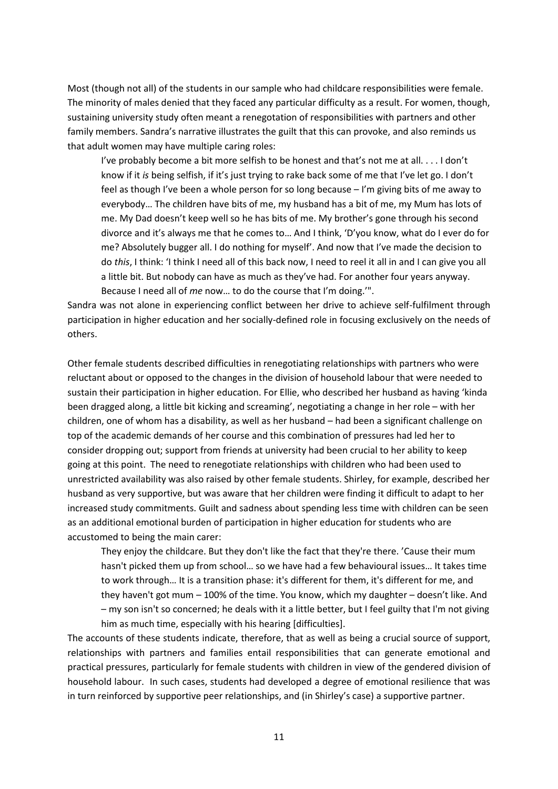Most (though not all) of the students in our sample who had childcare responsibilities were female. The minority of males denied that they faced any particular difficulty as a result. For women, though, sustaining university study often meant a renegotation of responsibilities with partners and other family members. Sandra's narrative illustrates the guilt that this can provoke, and also reminds us that adult women may have multiple caring roles:

I've probably become a bit more selfish to be honest and that's not me at all. . . . I don't know if it *is* being selfish, if it's just trying to rake back some of me that I've let go. I don't feel as though I've been a whole person for so long because – I'm giving bits of me away to everybody… The children have bits of me, my husband has a bit of me, my Mum has lots of me. My Dad doesn't keep well so he has bits of me. My brother's gone through his second divorce and it's always me that he comes to… And I think, 'D'you know, what do I ever do for me? Absolutely bugger all. I do nothing for myself'. And now that I've made the decision to do *this*, I think: 'I think I need all of this back now, I need to reel it all in and I can give you all a little bit. But nobody can have as much as they've had. For another four years anyway. Because I need all of *me* now… to do the course that I'm doing.'".

Sandra was not alone in experiencing conflict between her drive to achieve self-fulfilment through participation in higher education and her socially-defined role in focusing exclusively on the needs of others.

Other female students described difficulties in renegotiating relationships with partners who were reluctant about or opposed to the changes in the division of household labour that were needed to sustain their participation in higher education. For Ellie, who described her husband as having 'kinda been dragged along, a little bit kicking and screaming', negotiating a change in her role – with her children, one of whom has a disability, as well as her husband – had been a significant challenge on top of the academic demands of her course and this combination of pressures had led her to consider dropping out; support from friends at university had been crucial to her ability to keep going at this point. The need to renegotiate relationships with children who had been used to unrestricted availability was also raised by other female students. Shirley, for example, described her husband as very supportive, but was aware that her children were finding it difficult to adapt to her increased study commitments. Guilt and sadness about spending less time with children can be seen as an additional emotional burden of participation in higher education for students who are accustomed to being the main carer:

They enjoy the childcare. But they don't like the fact that they're there. 'Cause their mum hasn't picked them up from school… so we have had a few behavioural issues… It takes time to work through… It is a transition phase: it's different for them, it's different for me, and they haven't got mum – 100% of the time. You know, which my daughter – doesn't like. And – my son isn't so concerned; he deals with it a little better, but I feel guilty that I'm not giving him as much time, especially with his hearing [difficulties].

The accounts of these students indicate, therefore, that as well as being a crucial source of support, relationships with partners and families entail responsibilities that can generate emotional and practical pressures, particularly for female students with children in view of the gendered division of household labour. In such cases, students had developed a degree of emotional resilience that was in turn reinforced by supportive peer relationships, and (in Shirley's case) a supportive partner.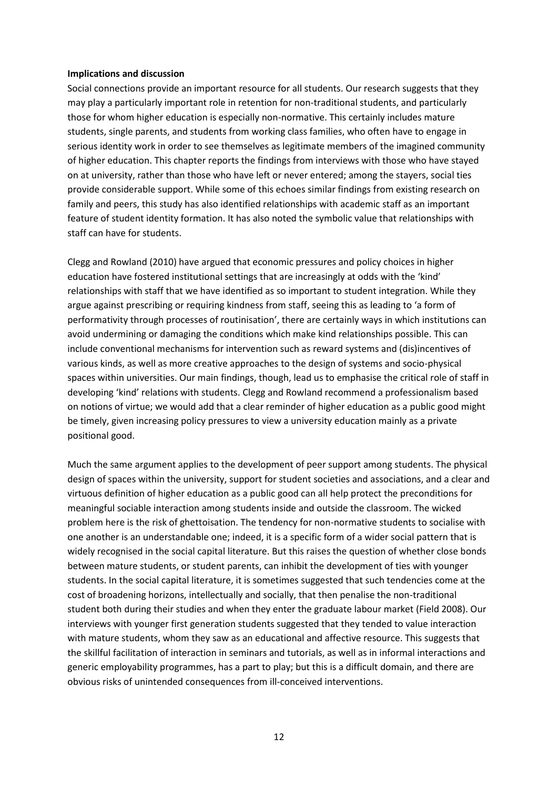#### **Implications and discussion**

Social connections provide an important resource for all students. Our research suggests that they may play a particularly important role in retention for non-traditional students, and particularly those for whom higher education is especially non-normative. This certainly includes mature students, single parents, and students from working class families, who often have to engage in serious identity work in order to see themselves as legitimate members of the imagined community of higher education. This chapter reports the findings from interviews with those who have stayed on at university, rather than those who have left or never entered; among the stayers, social ties provide considerable support. While some of this echoes similar findings from existing research on family and peers, this study has also identified relationships with academic staff as an important feature of student identity formation. It has also noted the symbolic value that relationships with staff can have for students.

Clegg and Rowland (2010) have argued that economic pressures and policy choices in higher education have fostered institutional settings that are increasingly at odds with the 'kind' relationships with staff that we have identified as so important to student integration. While they argue against prescribing or requiring kindness from staff, seeing this as leading to 'a form of performativity through processes of routinisation', there are certainly ways in which institutions can avoid undermining or damaging the conditions which make kind relationships possible. This can include conventional mechanisms for intervention such as reward systems and (dis)incentives of various kinds, as well as more creative approaches to the design of systems and socio-physical spaces within universities. Our main findings, though, lead us to emphasise the critical role of staff in developing 'kind' relations with students. Clegg and Rowland recommend a professionalism based on notions of virtue; we would add that a clear reminder of higher education as a public good might be timely, given increasing policy pressures to view a university education mainly as a private positional good.

Much the same argument applies to the development of peer support among students. The physical design of spaces within the university, support for student societies and associations, and a clear and virtuous definition of higher education as a public good can all help protect the preconditions for meaningful sociable interaction among students inside and outside the classroom. The wicked problem here is the risk of ghettoisation. The tendency for non-normative students to socialise with one another is an understandable one; indeed, it is a specific form of a wider social pattern that is widely recognised in the social capital literature. But this raises the question of whether close bonds between mature students, or student parents, can inhibit the development of ties with younger students. In the social capital literature, it is sometimes suggested that such tendencies come at the cost of broadening horizons, intellectually and socially, that then penalise the non-traditional student both during their studies and when they enter the graduate labour market (Field 2008). Our interviews with younger first generation students suggested that they tended to value interaction with mature students, whom they saw as an educational and affective resource. This suggests that the skillful facilitation of interaction in seminars and tutorials, as well as in informal interactions and generic employability programmes, has a part to play; but this is a difficult domain, and there are obvious risks of unintended consequences from ill-conceived interventions.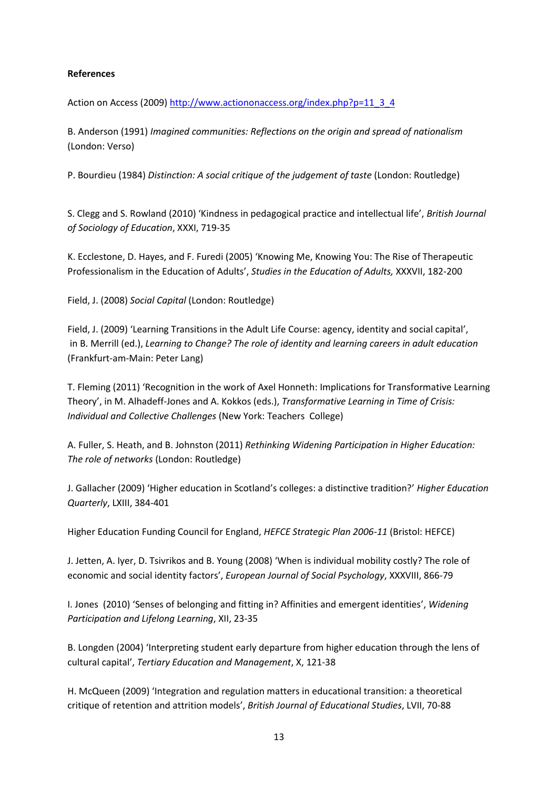# **References**

Action on Access (2009) [http://www.actiononaccess.org/index.php?p=11\\_3\\_4](http://www.actiononaccess.org/index.php?p=11_3_4)

B. Anderson (1991) *Imagined communities: Reflections on the origin and spread of nationalism* (London: Verso)

P. Bourdieu (1984) *Distinction: A social critique of the judgement of taste* (London: Routledge)

S. Clegg and S. Rowland (2010) 'Kindness in pedagogical practice and intellectual life', *British Journal of Sociology of Education*, XXXI, 719-35

K. Ecclestone, D. Hayes, and F. Furedi (2005) 'Knowing Me, Knowing You: The Rise of Therapeutic Professionalism in the Education of Adults', *Studies in the Education of Adults,* XXXVII, 182-200

Field, J. (2008) *Social Capital* (London: Routledge)

Field, J. (2009) 'Learning Transitions in the Adult Life Course: agency, identity and social capital', in B. Merrill (ed.), *Learning to Change? The role of identity and learning careers in adult education* (Frankfurt-am-Main: Peter Lang)

T. Fleming (2011) 'Recognition in the work of Axel Honneth: Implications for Transformative Learning Theory', in M. Alhadeff-Jones and A. Kokkos (eds.), *Transformative Learning in Time of Crisis: Individual and Collective Challenges* (New York: Teachers College)

A. Fuller, S. Heath, and B. Johnston (2011) *Rethinking Widening Participation in Higher Education: The role of networks* (London: Routledge)

J. Gallacher (2009) 'Higher education in Scotland's colleges: a distinctive tradition?' *Higher Education Quarterly*, LXIII, 384-401

Higher Education Funding Council for England, *HEFCE Strategic Plan 2006-11* (Bristol: HEFCE)

J. Jetten, A. Iyer, D. Tsivrikos and B. Young (2008) 'When is individual mobility costly? The role of economic and social identity factors', *European Journal of Social Psychology*, XXXVIII, 866-79

I. Jones (2010) 'Senses of belonging and fitting in? Affinities and emergent identities', *Widening Participation and Lifelong Learning*, XII, 23-35

B. Longden (2004) 'Interpreting student early departure from higher education through the lens of cultural capital', *Tertiary Education and Management*, X, 121-38

H. McQueen (2009) 'Integration and regulation matters in educational transition: a theoretical critique of retention and attrition models', *British Journal of Educational Studies*, LVII, 70-88